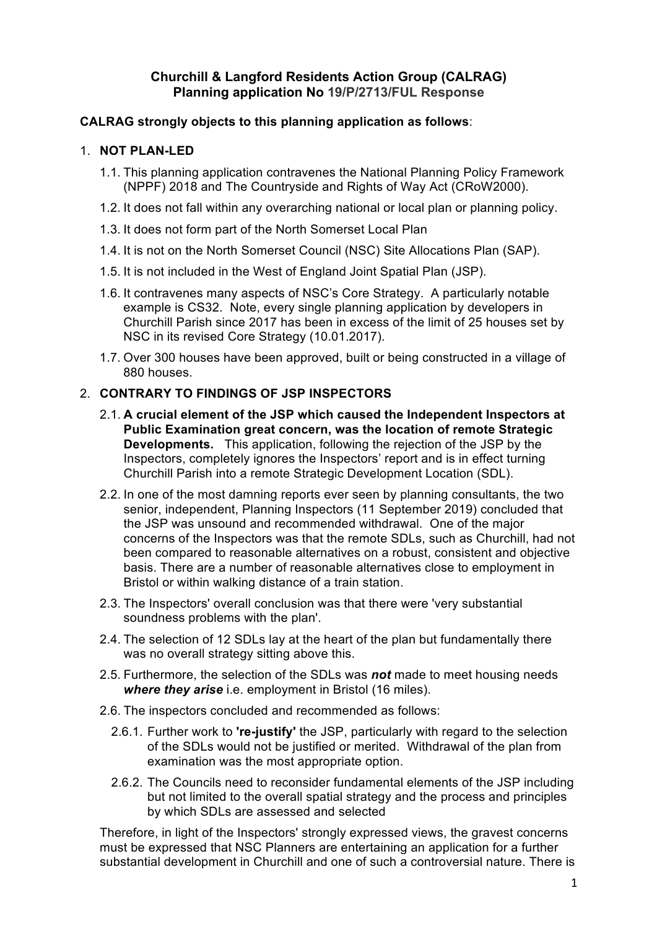# **Churchill & Langford Residents Action Group (CALRAG) Planning application No 19/P/2713/FUL Response**

# **CALRAG strongly objects to this planning application as follows**:

### 1. **NOT PLAN-LED**

- 1.1. This planning application contravenes the National Planning Policy Framework (NPPF) 2018 and The Countryside and Rights of Way Act (CRoW2000).
- 1.2. It does not fall within any overarching national or local plan or planning policy.
- 1.3. It does not form part of the North Somerset Local Plan
- 1.4. It is not on the North Somerset Council (NSC) Site Allocations Plan (SAP).
- 1.5. It is not included in the West of England Joint Spatial Plan (JSP).
- 1.6. It contravenes many aspects of NSC's Core Strategy. A particularly notable example is CS32. Note, every single planning application by developers in Churchill Parish since 2017 has been in excess of the limit of 25 houses set by NSC in its revised Core Strategy (10.01.2017).
- 1.7. Over 300 houses have been approved, built or being constructed in a village of 880 houses.

#### 2. **CONTRARY TO FINDINGS OF JSP INSPECTORS**

- 2.1. **A crucial element of the JSP which caused the Independent Inspectors at Public Examination great concern, was the location of remote Strategic Developments.** This application, following the rejection of the JSP by the Inspectors, completely ignores the Inspectors' report and is in effect turning Churchill Parish into a remote Strategic Development Location (SDL).
- 2.2. In one of the most damning reports ever seen by planning consultants, the two senior, independent, Planning Inspectors (11 September 2019) concluded that the JSP was unsound and recommended withdrawal. One of the major concerns of the Inspectors was that the remote SDLs, such as Churchill, had not been compared to reasonable alternatives on a robust, consistent and objective basis. There are a number of reasonable alternatives close to employment in Bristol or within walking distance of a train station.
- 2.3. The Inspectors' overall conclusion was that there were 'very substantial soundness problems with the plan'.
- 2.4. The selection of 12 SDLs lay at the heart of the plan but fundamentally there was no overall strategy sitting above this.
- 2.5. Furthermore, the selection of the SDLs was *not* made to meet housing needs *where they arise* i.e. employment in Bristol (16 miles).
- 2.6. The inspectors concluded and recommended as follows:
	- 2.6.1. Further work to **'re-justify'** the JSP, particularly with regard to the selection of the SDLs would not be justified or merited. Withdrawal of the plan from examination was the most appropriate option.
	- 2.6.2. The Councils need to reconsider fundamental elements of the JSP including but not limited to the overall spatial strategy and the process and principles by which SDLs are assessed and selected

Therefore, in light of the Inspectors' strongly expressed views, the gravest concerns must be expressed that NSC Planners are entertaining an application for a further substantial development in Churchill and one of such a controversial nature. There is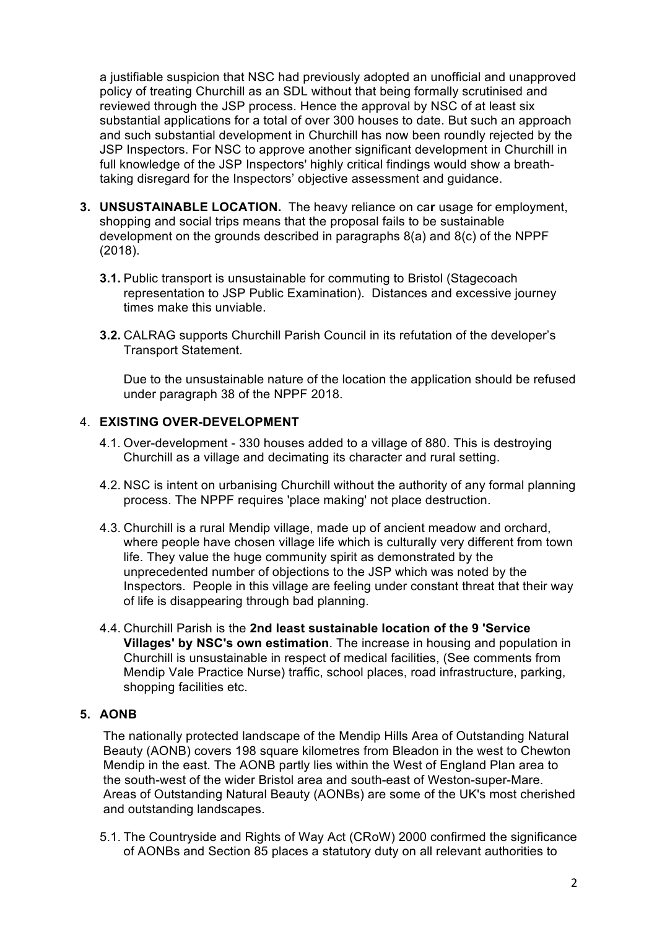a justifiable suspicion that NSC had previously adopted an unofficial and unapproved policy of treating Churchill as an SDL without that being formally scrutinised and reviewed through the JSP process. Hence the approval by NSC of at least six substantial applications for a total of over 300 houses to date. But such an approach and such substantial development in Churchill has now been roundly rejected by the JSP Inspectors. For NSC to approve another significant development in Churchill in full knowledge of the JSP Inspectors' highly critical findings would show a breathtaking disregard for the Inspectors' objective assessment and guidance.

- **3. UNSUSTAINABLE LOCATION.** The heavy reliance on ca**r** usage for employment, shopping and social trips means that the proposal fails to be sustainable development on the grounds described in paragraphs 8(a) and 8(c) of the NPPF (2018).
	- **3.1.** Public transport is unsustainable for commuting to Bristol (Stagecoach representation to JSP Public Examination). Distances and excessive journey times make this unviable.
	- **3.2.** CALRAG supports Churchill Parish Council in its refutation of the developer's Transport Statement.

Due to the unsustainable nature of the location the application should be refused under paragraph 38 of the NPPF 2018.

### 4. **EXISTING OVER-DEVELOPMENT**

- 4.1. Over-development 330 houses added to a village of 880. This is destroying Churchill as a village and decimating its character and rural setting.
- 4.2. NSC is intent on urbanising Churchill without the authority of any formal planning process. The NPPF requires 'place making' not place destruction.
- 4.3. Churchill is a rural Mendip village, made up of ancient meadow and orchard, where people have chosen village life which is culturally very different from town life. They value the huge community spirit as demonstrated by the unprecedented number of objections to the JSP which was noted by the Inspectors. People in this village are feeling under constant threat that their way of life is disappearing through bad planning.
- 4.4. Churchill Parish is the **2nd least sustainable location of the 9 'Service Villages' by NSC's own estimation**. The increase in housing and population in Churchill is unsustainable in respect of medical facilities, (See comments from Mendip Vale Practice Nurse) traffic, school places, road infrastructure, parking, shopping facilities etc.

# **5. AONB**

The nationally protected landscape of the Mendip Hills Area of Outstanding Natural Beauty (AONB) covers 198 square kilometres from Bleadon in the west to Chewton Mendip in the east. The AONB partly lies within the West of England Plan area to the south-west of the wider Bristol area and south-east of Weston-super-Mare. Areas of Outstanding Natural Beauty (AONBs) are some of the UK's most cherished and outstanding landscapes.

5.1. The Countryside and Rights of Way Act (CRoW) 2000 confirmed the significance of AONBs and Section 85 places a statutory duty on all relevant authorities to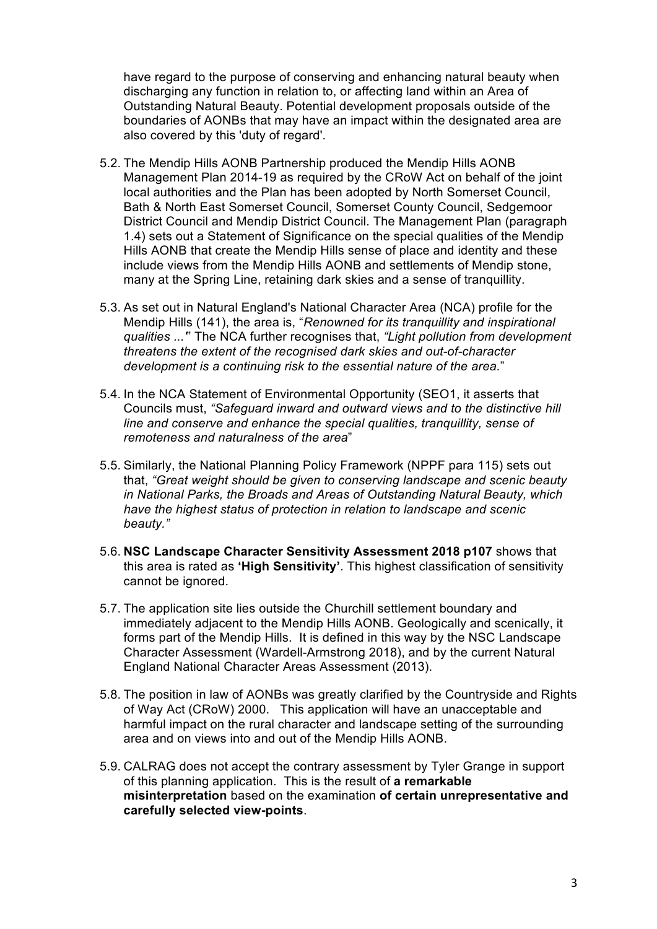have regard to the purpose of conserving and enhancing natural beauty when discharging any function in relation to, or affecting land within an Area of Outstanding Natural Beauty. Potential development proposals outside of the boundaries of AONBs that may have an impact within the designated area are also covered by this 'duty of regard'.

- 5.2. The Mendip Hills AONB Partnership produced the Mendip Hills AONB Management Plan 2014-19 as required by the CRoW Act on behalf of the joint local authorities and the Plan has been adopted by North Somerset Council, Bath & North East Somerset Council, Somerset County Council, Sedgemoor District Council and Mendip District Council. The Management Plan (paragraph 1.4) sets out a Statement of Significance on the special qualities of the Mendip Hills AONB that create the Mendip Hills sense of place and identity and these include views from the Mendip Hills AONB and settlements of Mendip stone, many at the Spring Line, retaining dark skies and a sense of tranquillity.
- 5.3. As set out in Natural England's National Character Area (NCA) profile for the Mendip Hills (141), the area is, "*Renowned for its tranquillity and inspirational qualities ...'*" The NCA further recognises that, *"Light pollution from development threatens the extent of the recognised dark skies and out-of-character development is a continuing risk to the essential nature of the area.*"
- 5.4. In the NCA Statement of Environmental Opportunity (SEO1, it asserts that Councils must, *"Safeguard inward and outward views and to the distinctive hill line and conserve and enhance the special qualities, tranquillity, sense of remoteness and naturalness of the area*"
- 5.5. Similarly, the National Planning Policy Framework (NPPF para 115) sets out that, *"Great weight should be given to conserving landscape and scenic beauty in National Parks, the Broads and Areas of Outstanding Natural Beauty, which have the highest status of protection in relation to landscape and scenic beauty."*
- 5.6. **NSC Landscape Character Sensitivity Assessment 2018 p107** shows that this area is rated as **'High Sensitivity'**. This highest classification of sensitivity cannot be ignored.
- 5.7. The application site lies outside the Churchill settlement boundary and immediately adjacent to the Mendip Hills AONB. Geologically and scenically, it forms part of the Mendip Hills. It is defined in this way by the NSC Landscape Character Assessment (Wardell-Armstrong 2018), and by the current Natural England National Character Areas Assessment (2013).
- 5.8. The position in law of AONBs was greatly clarified by the Countryside and Rights of Way Act (CRoW) 2000. This application will have an unacceptable and harmful impact on the rural character and landscape setting of the surrounding area and on views into and out of the Mendip Hills AONB.
- 5.9. CALRAG does not accept the contrary assessment by Tyler Grange in support of this planning application. This is the result of **a remarkable misinterpretation** based on the examination **of certain unrepresentative and carefully selected view-points**.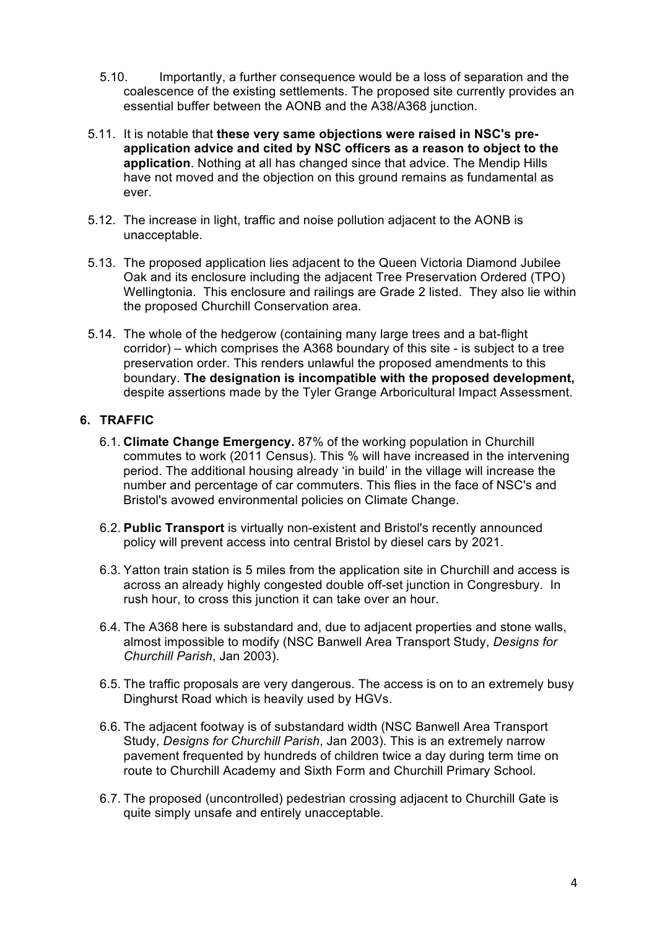- 5.10. Importantly, a further consequence would be a loss of separation and the coalescence of the existing settlements. The proposed site currently provides an essential buffer between the AONB and the A38/A368 junction.
- 5.11. It is notable that **these very same objections were raised in NSC's preapplication advice and cited by NSC officers as a reason to object to the application**. Nothing at all has changed since that advice. The Mendip Hills have not moved and the objection on this ground remains as fundamental as ever.
- 5.12. The increase in light, traffic and noise pollution adjacent to the AONB is unacceptable.
- 5.13. The proposed application lies adjacent to the Queen Victoria Diamond Jubilee Oak and its enclosure including the adjacent Tree Preservation Ordered (TPO) Wellingtonia. This enclosure and railings are Grade 2 listed. They also lie within the proposed Churchill Conservation area.
- 5.14. The whole of the hedgerow (containing many large trees and a bat-flight corridor) – which comprises the A368 boundary of this site - is subject to a tree preservation order. This renders unlawful the proposed amendments to this boundary. **The designation is incompatible with the proposed development,**  despite assertions made by the Tyler Grange Arboricultural Impact Assessment.

# **6. TRAFFIC**

- 6.1. **Climate Change Emergency.** 87% of the working population in Churchill commutes to work (2011 Census). This % will have increased in the intervening period. The additional housing already 'in build' in the village will increase the number and percentage of car commuters. This flies in the face of NSC's and Bristol's avowed environmental policies on Climate Change.
- 6.2. **Public Transport** is virtually non-existent and Bristol's recently announced policy will prevent access into central Bristol by diesel cars by 2021.
- 6.3. Yatton train station is 5 miles from the application site in Churchill and access is across an already highly congested double off-set junction in Congresbury. In rush hour, to cross this junction it can take over an hour.
- 6.4. The A368 here is substandard and, due to adjacent properties and stone walls, almost impossible to modify (NSC Banwell Area Transport Study, *Designs for Churchill Parish*, Jan 2003).
- 6.5. The traffic proposals are very dangerous. The access is on to an extremely busy Dinghurst Road which is heavily used by HGVs.
- 6.6. The adjacent footway is of substandard width (NSC Banwell Area Transport Study, *Designs for Churchill Parish*, Jan 2003). This is an extremely narrow pavement frequented by hundreds of children twice a day during term time on route to Churchill Academy and Sixth Form and Churchill Primary School.
- 6.7. The proposed (uncontrolled) pedestrian crossing adjacent to Churchill Gate is quite simply unsafe and entirely unacceptable.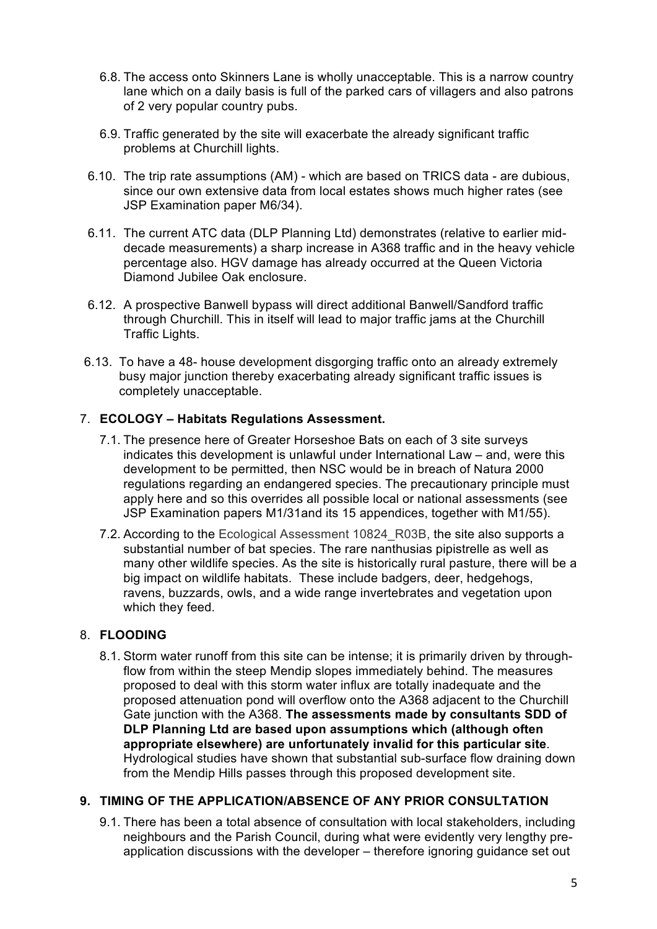- 6.8. The access onto Skinners Lane is wholly unacceptable. This is a narrow country lane which on a daily basis is full of the parked cars of villagers and also patrons of 2 very popular country pubs.
- 6.9. Traffic generated by the site will exacerbate the already significant traffic problems at Churchill lights.
- 6.10. The trip rate assumptions (AM) which are based on TRICS data are dubious, since our own extensive data from local estates shows much higher rates (see JSP Examination paper M6/34).
- 6.11. The current ATC data (DLP Planning Ltd) demonstrates (relative to earlier middecade measurements) a sharp increase in A368 traffic and in the heavy vehicle percentage also. HGV damage has already occurred at the Queen Victoria Diamond Jubilee Oak enclosure.
- 6.12. A prospective Banwell bypass will direct additional Banwell/Sandford traffic through Churchill. This in itself will lead to major traffic jams at the Churchill Traffic Lights.
- 6.13. To have a 48- house development disgorging traffic onto an already extremely busy major junction thereby exacerbating already significant traffic issues is completely unacceptable.

### 7. **ECOLOGY – Habitats Regulations Assessment.**

- 7.1. The presence here of Greater Horseshoe Bats on each of 3 site surveys indicates this development is unlawful under International Law – and, were this development to be permitted, then NSC would be in breach of Natura 2000 regulations regarding an endangered species. The precautionary principle must apply here and so this overrides all possible local or national assessments (see JSP Examination papers M1/31and its 15 appendices, together with M1/55).
- 7.2. According to the Ecological Assessment 10824 R03B, the site also supports a substantial number of bat species. The rare nanthusias pipistrelle as well as many other wildlife species. As the site is historically rural pasture, there will be a big impact on wildlife habitats. These include badgers, deer, hedgehogs, ravens, buzzards, owls, and a wide range invertebrates and vegetation upon which they feed.

#### 8. **FLOODING**

8.1. Storm water runoff from this site can be intense; it is primarily driven by throughflow from within the steep Mendip slopes immediately behind. The measures proposed to deal with this storm water influx are totally inadequate and the proposed attenuation pond will overflow onto the A368 adjacent to the Churchill Gate junction with the A368. **The assessments made by consultants SDD of DLP Planning Ltd are based upon assumptions which (although often appropriate elsewhere) are unfortunately invalid for this particular site**. Hydrological studies have shown that substantial sub-surface flow draining down from the Mendip Hills passes through this proposed development site.

#### **9. TIMING OF THE APPLICATION/ABSENCE OF ANY PRIOR CONSULTATION**

9.1. There has been a total absence of consultation with local stakeholders, including neighbours and the Parish Council, during what were evidently very lengthy preapplication discussions with the developer – therefore ignoring guidance set out